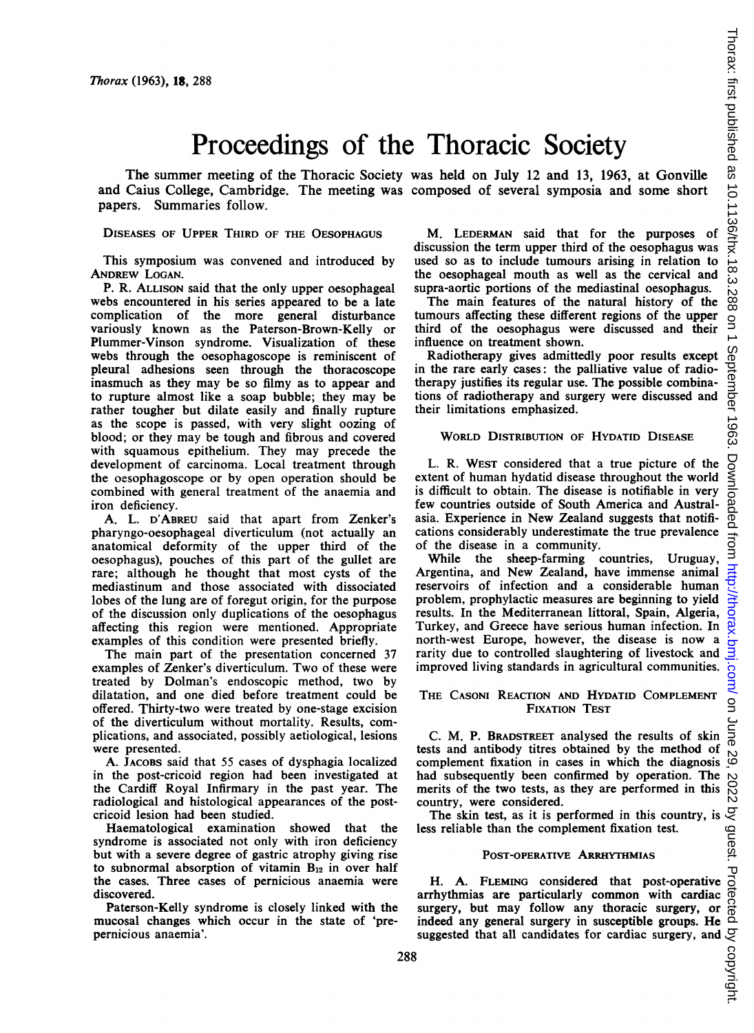نځ .288 g

Downloaded

no m

# Proceedings of the Thoracic Society

The summer meeting of the Thoracic Society was held on July 12 and 13, 1963, at Gonville and Caius College, Cambridge. The meeting was composed of several symposia and some short papers. Summaries follow.

# DISEASES OF UPPER THIRD OF THE OESOPHAGUS

This symposium was convened and introduced by ANDREW LOGAN.

P. R. ALLISON said that the only upper oesophageal webs encountered in his series appeared to be <sup>a</sup> late complication of the more general disturbance variously known as the Paterson-Brown-Kelly or Plummer-Vinson syndrome. Visualization of these webs through the oesophagoscope is reminiscent of pleural adhesions seen through the thoracoscope inasmuch as they may be so filmy as to appear and to rupture almost like a soap bubble; they may be rather tougher but dilate easily and finally rupture as the scope is passed, with very slight oozing of blood; or they may be tough and fibrous and covered with squamous epithelium. They may precede the development of carcinoma. Local treatment through the oesophagoscope or by open operation should be combined with general treatment of the anaemia and iron deficiency.

A. L. D'ABREU said that apart from Zenker's pharyngo-oesophageal diverticulum (not actually an anatomical deformity of the upper third of the oesophagus), pouches of this part of the gullet are rare; although he thought that most cysts of the mediastinum and those associated with dissociated lobes of the lung are of foregut origin, for the purpose of the discussion only duplications of the oesophagus affecting this region were mentioned. Appropriate examples of this condition were presented briefly.

The main part of the presentation concerned 37 examples of Zenker's diverticulum. Two of these were treated by Dolman's endoscopic method, two by dilatation, and one died before treatment could be offered. Thirty-two were treated by one-stage excision of the diverticulum without mortality. Results, complications, and associated, possibly aetiological, lesions were presented.

A. JACOBS said that 55 cases of dysphagia localized in the post-cricoid region had been investigated at the Cardiff Royal Infirmary in the past year. The radiological and histological appearances of the postcricoid lesion had been studied.

Haematological examination showed that the syndrome is associated not only with iron deficiency but with a severe degree of gastric atrophy giving rise to subnormal absorption of vitamin  $B_{12}$  in over half the cases. Three cases of pernicious anaemia were discovered.

Paterson-Kelly syndrome is closely linked with the mucosal changes which occur in the state of 'prepernicious anaemia'.

Thorax: first published as 10.1136/thx.18 M. LEDERMAN said that for the purposes of discussion the term upper third of the oesophagus was used so as to include tumours arising in relation to the oesophageal mouth as well as the cervical and supra-aortic portions of the mediastinal oesophagus.

The main features of the natural history of the tumours affecting these different regions of the upper third of the oesophagus were discussed and their influence on treatment shown.

September 1963. Radiotherapy gives admittedly poor results except in the rare early cases: the palliative value of radiotherapy justifies its regular use. The possible combinations of radiotherapy and surgery were discussed and their limitations emphasized.

## WORLD DISTRIBUTION OF HYDATID DISEASE

L. R. WEST considered that a true picture of the extent of human hydatid disease throughout the world is difficult to obtain. The disease is notifiable in very few countries outside of South America and Australasia. Experience in New Zealand suggests that notifications considerably underestimate the true prevalence of the disease in a community.

 on June 29, 2022 by guest. Protected by copyright. <http://thorax.bmj.com/> Thorax: first published as 10.1136/thx.18.3.288 on 1 September 1963. Downloaded from å While the sheep-farming countries, Uruguay, Argentina, and New Zealand, have immense animal http:// reservoirs of infection and a considerable human problem, prophylactic measures are beginning to yield results. In the Mediterranean littoral, Spain, Algeria, orax.bm Turkey, and Greece have serious human infection. In north-west Europe, however, the disease is now a rarity due to controlled slaughtering of livestock and improved living standards in agricultural communities. .<br>8

## THE CASONI REACTION AND HYDATID COMPLEMENT FIXATION TEST

June C. M. P. BRADSTREET analysed the results of skin tests and antibody titres obtained by the method of 82 complement fixation in cases in which the diagnosis had subsequently been confirmed by operation. The 2022 merits of the two tests, as they are performed in this country, were considered.

less reliable than the complement fixation test.

## POST-OPERATiVE ARRHYTHMIAS

The skin test, as it is performed in this country, is  $\frac{1}{2}$ <br>
is reliable than the complement fixation test.<br>
The skin test, as it is performed in this country, is  $\frac{1}{2}$ <br>
POST-OPERATIVE ARRHYTHMIAS<br>
H. A. FLEMING c H. A. FLEMING considered that post-operative arrhythmias are particularly common with cardiac surgery, but may follow any thoracic surgery, or indeed any general surgery in susceptible groups. He suggested that all candidates for cardiac surgery, and by copyright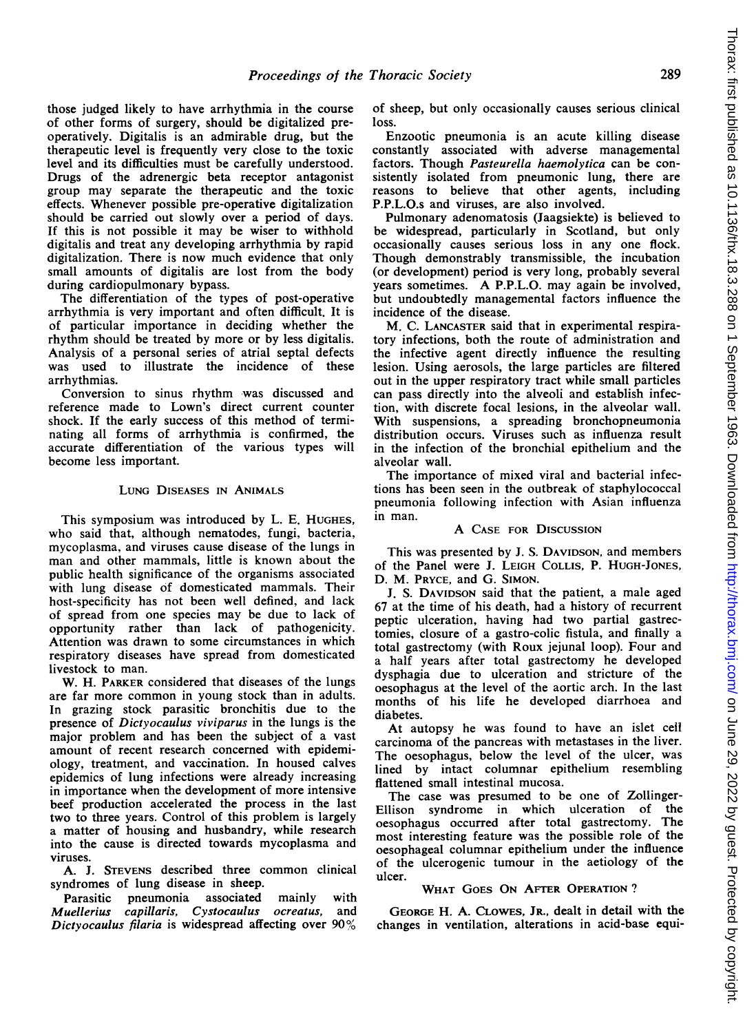those judged likely to have arrhythmia in the course of other forms of surgery, should be digitalized preoperatively. Digitalis is an admirable drug, but the therapeutic level is frequently very close to the toxic level and its difficulties must be carefully understood. Drugs of the adrenergic beta receptor antagonist group may separate the therapeutic and the toxic effects. Whenever possible pre-operative digitalization should be carried out slowly over a period of days. If this is not possible it may be wiser to withhold digitalis and treat any developing arrhythmia by rapid digitalization. There is now much evidence that only small amounts of digitalis are lost from the body during cardiopulmonary bypass.

The differentiation of the types of post-operative arrhythmia is very important and often difficult. It is of particular importance in deciding whether the rhythm should be treated by more or by less digitalis. Analysis of a personal series of atrial septal defects was used to illustrate the incidence of these arrhythmias.

Conversion to sinus rhythm was discussed and reference made to Lown's direct current counter shock. If the early success of this method of terminating all forms of arrhythmia is confirmed, the accurate differentiation of the various types will become less important.

# LUNG DISEASES IN ANIMALS

This symposium was introduced by L. E. HUGHES, who said that, although nematodes, fungi, bacteria, mycoplasma, and viruses cause disease of the lungs in man and other mammals, little is known about the public health significance of the organisms associated with lung disease of domesticated mammals. Their host-specificity has not been well defined, and lack of spread from one species may be due to lack of opportunity rather than lack of pathogenicity. Attention was drawn to some circumstances in which respiratory diseases have spread from domesticated livestock to man.

W. H. PARKER considered that diseases of the lungs are far more common in young stock than in adults. In grazing stock parasitic bronchitis due to the presence of Dictyocaulus viviparus in the lungs is the major problem and has been the subject of a vast amount of recent research concerned with epidemiology, treatment, and vaccination. In housed calves epidemics of lung infections were already increasing in importance when the development of more intensive beef production accelerated the process in the last two to three years. Control of this problem is largely a matter of housing and husbandry, while research into the cause is directed towards mycoplasma and viruses.

A. J. STEVENS described three common clinical syndromes of lung disease in sheep.

Parasitic pneumonia associated mainly with Muellerius capillaris, Cystocaulus ocreatus, and Dictyocaulus filaria is widespread affecting over 90%

of sheep, but only occasionally causes serious clinical loss.

Enzootic pneumonia is an acute killing disease constantly associated with adverse managemental factors. Though Pasteurella haemolytica can be consistently isolated from pneumonic lung, there are reasons to believe that other agents, including P.P.L.O.s and viruses, are also involved.

Pulmonary adenomatosis (Jaagsiekte) is believed to be widespread, particularly in Scotland, but only occasionally causes serious loss in any one flock. Though demonstrably transmissible, the incubation (or development) period is very long, probably several years sometimes. A P.P.L.O. may again be involved, but undoubtedly managemental factors influence the incidence of the disease.

M. C. LANCASTER said that in experimental respiratory infections, both the route of administration and the infective agent directly influence the resulting lesion. Using aerosols, the large particles are filtered out in the upper respiratory tract while small particles can pass directly into the alveoli and establish infection, with discrete focal lesions, in the alveolar wall. With suspensions, a spreading bronchopneumonia distribution occurs. Viruses such as influenza result in the infection of the bronchial epithelium and the alveolar wall.

The importance of mixed viral and bacterial infections has been seen in the outbreak of staphylococcal pneumonia following infection with Asian influenza in man.

#### A CASE FOR DISCUSSION

This was presented by J. S. DAVIDSON, and members of the Panel were J. LEIGH COLLIS, P. HUGH-JONES, D. M. PRYCE, and G. SIMON.

J. S. DAVIDSON said that the patient, a male aged 67 at the time of his death, had a history of recurrent peptic ulceration, having had two partial gastrectomies, closure of a gastro-colic fistula, and finally a total gastrectomy (with Roux jejunal loop). Four and a half years after total gastrectomy he developed dysphagia due to ulceration and stricture of the oesophagus at the level of the aortic arch. In the last months of his life he developed diarrhoea and diabetes.

At autopsy he was found to have an islet cell carcinoma of the pancreas with metastases in the liver. The oesophagus, below the level of the ulcer, was lined by intact columnar epithelium resembling flattened small intestinal mucosa.

The case was presumed to be one of Zollinger-Ellison syndrome in which ulceration of the oesophagus occurred after total gastrectomy. The most interesting feature was the possible role of the oesophageal columnar epithelium under the influence of the ulcerogenic tumour in the aetiology of the ulcer.

## WHAT GOES ON AFTER OPERATION?

GEORGE H. A. CLOWES, JR., dealt in detail with the changes in ventilation, alterations in acid-base equi